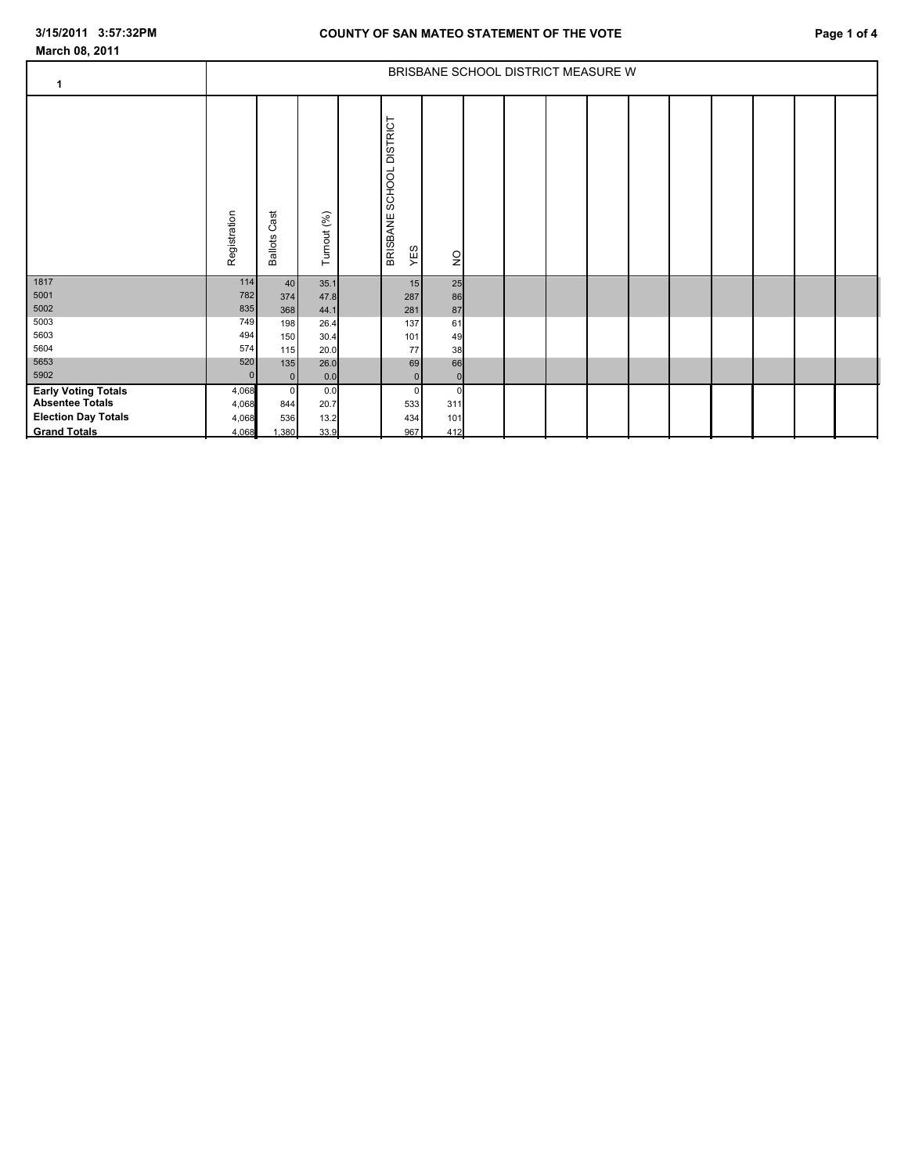## **COUNTY OF SAN MATEO STATEMENT OF THE VOTE Page 1 of 4**

| $\mathbf 1$                                                                                               | BRISBANE SCHOOL DISTRICT MEASURE W |                                       |                             |  |                                   |                                  |  |  |  |  |  |  |  |  |  |  |
|-----------------------------------------------------------------------------------------------------------|------------------------------------|---------------------------------------|-----------------------------|--|-----------------------------------|----------------------------------|--|--|--|--|--|--|--|--|--|--|
|                                                                                                           | Registration                       | Cast<br><b>Ballots</b>                | Turnout (%)                 |  | BRISBANE SCHOOL DISTRICT<br>YES   | $\frac{1}{2}$                    |  |  |  |  |  |  |  |  |  |  |
| 1817<br>5001<br>5002                                                                                      | $114$<br>782<br>835                | 40<br>374<br>368                      | 35.1<br>47.8<br>44.1        |  | 15<br>287<br>281                  | 25<br>86<br>87                   |  |  |  |  |  |  |  |  |  |  |
| 5003<br>5603<br>5604                                                                                      | 749<br>494<br>574                  | 198<br>150<br>115                     | 26.4<br>30.4<br>20.0        |  | 137<br>101<br>$77\,$              | 61<br>49<br>38                   |  |  |  |  |  |  |  |  |  |  |
| 5653<br>5902                                                                                              | 520<br>$\Omega$                    | 135<br>$\overline{0}$                 | 26.0<br>0.0                 |  | 69<br>$\overline{0}$              | 66<br> 0                         |  |  |  |  |  |  |  |  |  |  |
| <b>Early Voting Totals</b><br><b>Absentee Totals</b><br><b>Election Day Totals</b><br><b>Grand Totals</b> | 4,068<br>4,068<br>4,068<br>4,068   | $\overline{0}$<br>844<br>536<br>1,380 | 0.0<br>20.7<br>13.2<br>33.9 |  | $\mathbf{0}$<br>533<br>434<br>967 | $\mathbf 0$<br>311<br>101<br>412 |  |  |  |  |  |  |  |  |  |  |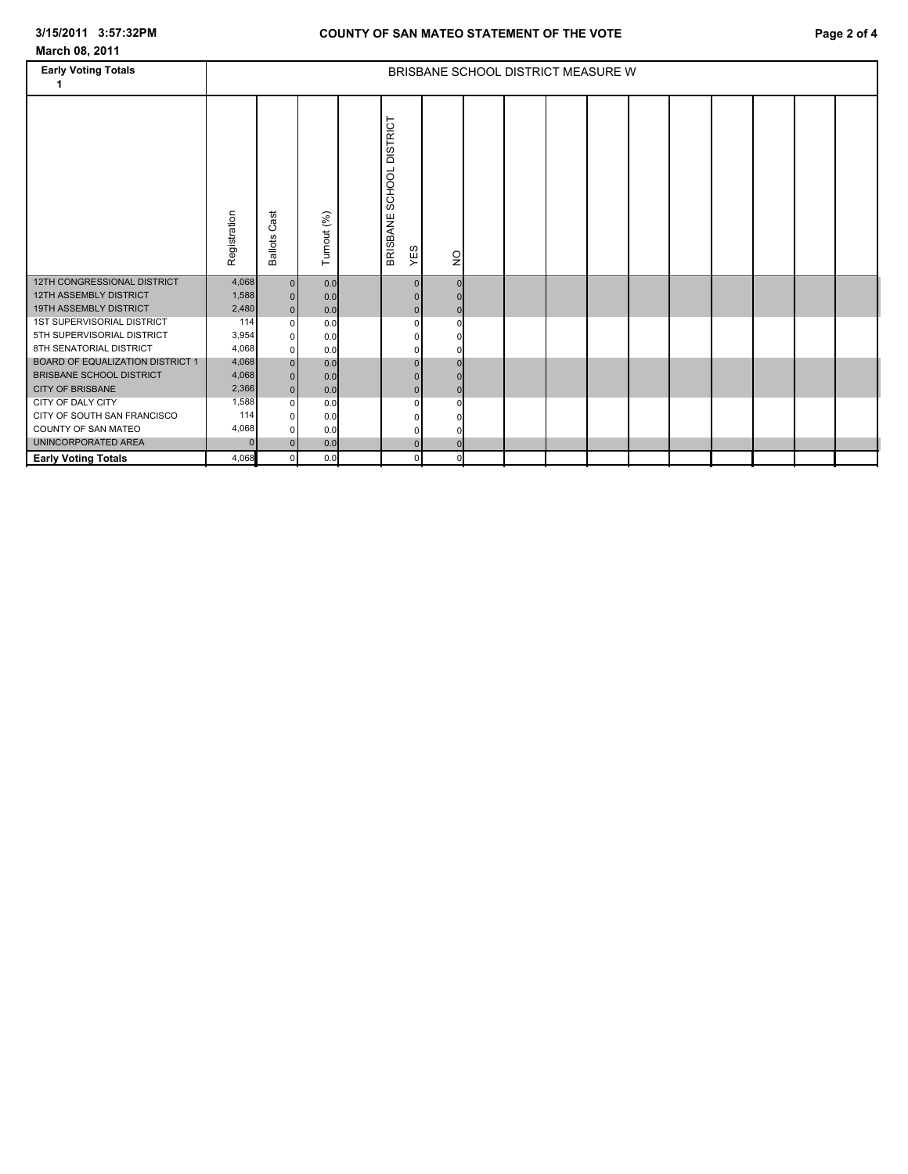| March 08, 2011                          |                                    |                        |             |  |                                              |               |  |  |  |  |  |  |  |  |  |  |
|-----------------------------------------|------------------------------------|------------------------|-------------|--|----------------------------------------------|---------------|--|--|--|--|--|--|--|--|--|--|
| <b>Early Voting Totals</b>              | BRISBANE SCHOOL DISTRICT MEASURE W |                        |             |  |                                              |               |  |  |  |  |  |  |  |  |  |  |
|                                         | Registration                       | Cast<br><b>Ballots</b> | Turnout (%) |  | <b>DISTRICT</b><br>SCHOOL<br>BRISBANE<br>YES | $\frac{1}{2}$ |  |  |  |  |  |  |  |  |  |  |
| 12TH CONGRESSIONAL DISTRICT             | 4,068                              | 0                      | 0.0         |  | $\mathbf{0}$                                 |               |  |  |  |  |  |  |  |  |  |  |
| <b>12TH ASSEMBLY DISTRICT</b>           | 1,588                              | 0                      | 0.0         |  |                                              |               |  |  |  |  |  |  |  |  |  |  |
| 19TH ASSEMBLY DISTRICT                  | 2,480                              | 0                      | 0.0         |  | $\Omega$                                     |               |  |  |  |  |  |  |  |  |  |  |
| 1ST SUPERVISORIAL DISTRICT              | 114                                | $\overline{0}$         | 0.0         |  | $\Omega$                                     |               |  |  |  |  |  |  |  |  |  |  |
| 5TH SUPERVISORIAL DISTRICT              | 3,954                              | $\overline{0}$         | 0.0         |  | <sup>0</sup>                                 |               |  |  |  |  |  |  |  |  |  |  |
| 8TH SENATORIAL DISTRICT                 | 4,068                              | 0                      | 0.0         |  |                                              |               |  |  |  |  |  |  |  |  |  |  |
| <b>BOARD OF EQUALIZATION DISTRICT 1</b> | 4,068                              | $\overline{0}$         | 0.0         |  | $\Omega$                                     |               |  |  |  |  |  |  |  |  |  |  |
| <b>BRISBANE SCHOOL DISTRICT</b>         | 4,068                              | 0                      | 0.0         |  | $\Omega$                                     |               |  |  |  |  |  |  |  |  |  |  |
| <b>CITY OF BRISBANE</b>                 | 2,366                              | $\overline{0}$         | 0.0         |  | $\overline{0}$                               |               |  |  |  |  |  |  |  |  |  |  |
| CITY OF DALY CITY                       | 1,588                              | 0                      | 0.0         |  | $\Omega$                                     |               |  |  |  |  |  |  |  |  |  |  |
| CITY OF SOUTH SAN FRANCISCO             | 114                                | 0                      | 0.0         |  |                                              |               |  |  |  |  |  |  |  |  |  |  |
| COUNTY OF SAN MATEO                     | 4,068                              | 0                      | 0.0         |  | 0                                            |               |  |  |  |  |  |  |  |  |  |  |
| UNINCORPORATED AREA                     | $\Omega$                           | 0                      | 0.0         |  | $\overline{0}$                               |               |  |  |  |  |  |  |  |  |  |  |

**Early Voting Totals | 4,068** 0 | 0.0 | | 0 | | |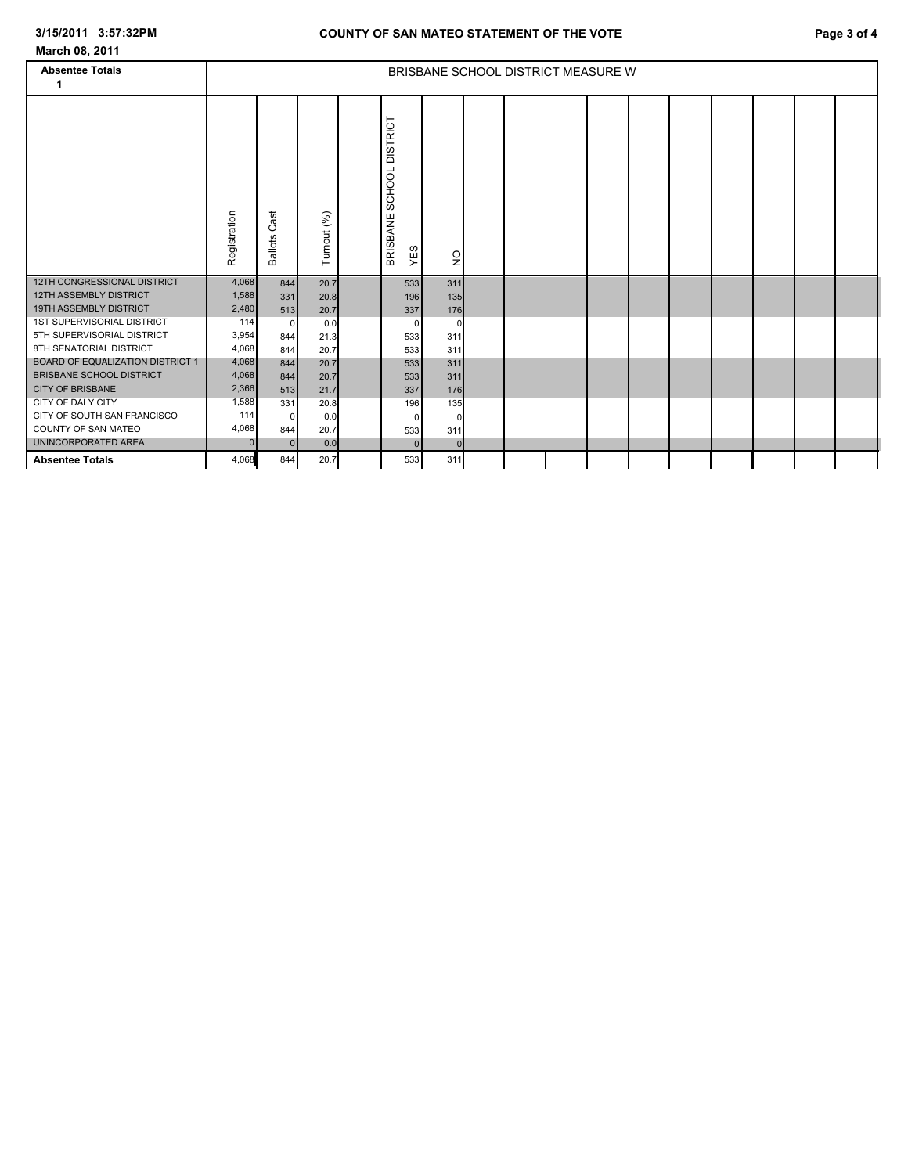| March 08, 2011                                        |                                    |                          |              |                                    |             |                |  |  |  |  |  |  |  |  |  |  |
|-------------------------------------------------------|------------------------------------|--------------------------|--------------|------------------------------------|-------------|----------------|--|--|--|--|--|--|--|--|--|--|
| <b>Absentee Totals</b>                                | BRISBANE SCHOOL DISTRICT MEASURE W |                          |              |                                    |             |                |  |  |  |  |  |  |  |  |  |  |
| 1                                                     |                                    |                          |              |                                    |             |                |  |  |  |  |  |  |  |  |  |  |
|                                                       | Registration                       | ä<br>ت<br><b>Ballots</b> | Turnout (%)  | SCHOOL DISTRICT<br><b>BRISBANE</b> | YES         | $\overline{Q}$ |  |  |  |  |  |  |  |  |  |  |
| 12TH CONGRESSIONAL DISTRICT                           | 4,068                              | 844                      | 20.7         |                                    | 533         | 311            |  |  |  |  |  |  |  |  |  |  |
| <b>12TH ASSEMBLY DISTRICT</b>                         | 1,588                              | 331                      | 20.8         |                                    | 196         | 135            |  |  |  |  |  |  |  |  |  |  |
| 19TH ASSEMBLY DISTRICT                                | 2,480                              | 513                      | 20.7         |                                    | 337         | 176            |  |  |  |  |  |  |  |  |  |  |
| <b>1ST SUPERVISORIAL DISTRICT</b>                     | 114                                | $\Omega$                 | 0.0          |                                    | $\Omega$    | $\Omega$       |  |  |  |  |  |  |  |  |  |  |
| 5TH SUPERVISORIAL DISTRICT<br>8TH SENATORIAL DISTRICT | 3,954                              | 844                      | 21.3         |                                    | 533         | 311            |  |  |  |  |  |  |  |  |  |  |
| <b>BOARD OF EQUALIZATION DISTRICT 1</b>               | 4,068<br>4,068                     | 844                      | 20.7         |                                    | 533         | 311            |  |  |  |  |  |  |  |  |  |  |
| <b>BRISBANE SCHOOL DISTRICT</b>                       | 4,068                              | 844<br>844               | 20.7<br>20.7 |                                    | 533<br>533  | 311<br>311     |  |  |  |  |  |  |  |  |  |  |
| <b>CITY OF BRISBANE</b>                               | 2,366                              | 513                      | 21.7         |                                    | 337         | 176            |  |  |  |  |  |  |  |  |  |  |
| CITY OF DALY CITY                                     | 1,588                              | 331                      | 20.8         |                                    | 196         | 135            |  |  |  |  |  |  |  |  |  |  |
| CITY OF SOUTH SAN FRANCISCO                           | 114                                | $\Omega$                 | 0.0          |                                    | $\mathbf 0$ | O              |  |  |  |  |  |  |  |  |  |  |
| COUNTY OF SAN MATEO                                   | 4,068                              | 844                      | 20.7         |                                    | 533         | 311            |  |  |  |  |  |  |  |  |  |  |
| UNINCORPORATED AREA                                   | $\Omega$                           | $\Omega$                 | 0.0          |                                    | $\Omega$    |                |  |  |  |  |  |  |  |  |  |  |
| <b>Absentee Totals</b>                                | 4,068                              | 844                      | 20.7         |                                    | 533         | 311            |  |  |  |  |  |  |  |  |  |  |